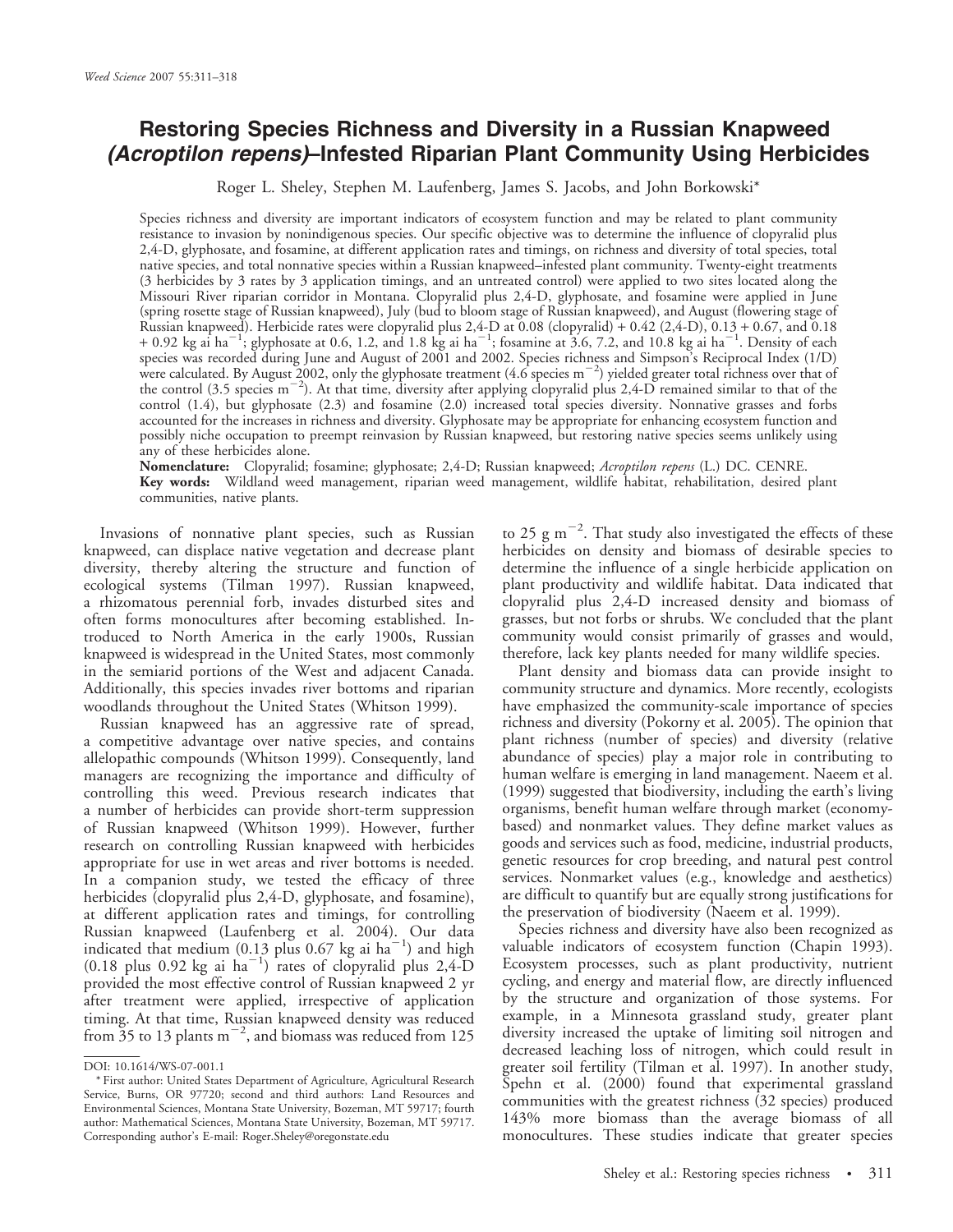# Restoring Species Richness and Diversity in a Russian Knapweed (Acroptilon repens)–Infested Riparian Plant Community Using Herbicides

Roger L. Sheley, Stephen M. Laufenberg, James S. Jacobs, and John Borkowski\*

Species richness and diversity are important indicators of ecosystem function and may be related to plant community resistance to invasion by nonindigenous species. Our specific objective was to determine the influence of clopyralid plus 2,4-D, glyphosate, and fosamine, at different application rates and timings, on richness and diversity of total species, total native species, and total nonnative species within a Russian knapweed–infested plant community. Twenty-eight treatments (3 herbicides by 3 rates by 3 application timings, and an untreated control) were applied to two sites located along the Missouri River riparian corridor in Montana. Clopyralid plus 2,4-D, glyphosate, and fosamine were applied in June (spring rosette stage of Russian knapweed), July (bud to bloom stage of Russian knapweed), and August (flowering stage of Russian knapweed). Herbicide rates were clopyralid plus 2,4-D at 0.08 (clopyralid) +  $0.42$  (2,4-D),  $0.13 + 0.67$ , and 0.18  $+$  0.92 kg ai ha<sup>-1</sup>; glyphosate at 0.6, 1.2, and 1.8 kg ai ha<sup>-1</sup>; fosamine at 3.6, 7.2, and 10.8 kg ai ha<sup>-1</sup>. Density of each species was recorded during June and August of 2001 and 2002. Species richness and Simpson's Reciprocal Index (1/D) were calculated. By August 2002, only the glyphosate treatment  $(4.6 \text{ species m}^{-2})$  yielded greater total richness over that of the control (3.5 species m<sup>-2</sup>). At that time, diversity after applying clopyralid plus 2,4-D remained similar to that of the control (1.4), but glyphosate (2.3) and fosamine (2.0) increased total species diversity. Nonnative grasses and forbs accounted for the increases in richness and diversity. Glyphosate may be appropriate for enhancing ecosystem function and possibly niche occupation to preempt reinvasion by Russian knapweed, but restoring native species seems unlikely using any of these herbicides alone.

Nomenclature: Clopyralid; fosamine; glyphosate; 2,4-D; Russian knapweed; Acroptilon repens (L.) DC. CENRE. Key words: Wildland weed management, riparian weed management, wildlife habitat, rehabilitation, desired plant communities, native plants.

Invasions of nonnative plant species, such as Russian knapweed, can displace native vegetation and decrease plant diversity, thereby altering the structure and function of ecological systems (Tilman 1997). Russian knapweed, a rhizomatous perennial forb, invades disturbed sites and often forms monocultures after becoming established. Introduced to North America in the early 1900s, Russian knapweed is widespread in the United States, most commonly in the semiarid portions of the West and adjacent Canada. Additionally, this species invades river bottoms and riparian woodlands throughout the United States (Whitson 1999).

Russian knapweed has an aggressive rate of spread, a competitive advantage over native species, and contains allelopathic compounds (Whitson 1999). Consequently, land managers are recognizing the importance and difficulty of controlling this weed. Previous research indicates that a number of herbicides can provide short-term suppression of Russian knapweed (Whitson 1999). However, further research on controlling Russian knapweed with herbicides appropriate for use in wet areas and river bottoms is needed. In a companion study, we tested the efficacy of three herbicides (clopyralid plus 2,4-D, glyphosate, and fosamine), at different application rates and timings, for controlling Russian knapweed (Laufenberg et al. 2004). Our data indicated that medium (0.13 plus 0.67 kg ai  $ha^{-1}$ ) and high  $(0.18$  plus 0.92 kg ai  $ha^{-1}$ ) rates of clopyralid plus 2,4-D provided the most effective control of Russian knapweed 2 yr after treatment were applied, irrespective of application timing. At that time, Russian knapweed density was reduced from  $35$  to 13 plants m<sup>-2</sup>, and biomass was reduced from 125

to 25  $\rm g$  m<sup>-2</sup>. That study also investigated the effects of these herbicides on density and biomass of desirable species to determine the influence of a single herbicide application on plant productivity and wildlife habitat. Data indicated that clopyralid plus 2,4-D increased density and biomass of grasses, but not forbs or shrubs. We concluded that the plant community would consist primarily of grasses and would, therefore, lack key plants needed for many wildlife species.

Plant density and biomass data can provide insight to community structure and dynamics. More recently, ecologists have emphasized the community-scale importance of species richness and diversity (Pokorny et al. 2005). The opinion that plant richness (number of species) and diversity (relative abundance of species) play a major role in contributing to human welfare is emerging in land management. Naeem et al. (1999) suggested that biodiversity, including the earth's living organisms, benefit human welfare through market (economybased) and nonmarket values. They define market values as goods and services such as food, medicine, industrial products, genetic resources for crop breeding, and natural pest control services. Nonmarket values (e.g., knowledge and aesthetics) are difficult to quantify but are equally strong justifications for the preservation of biodiversity (Naeem et al. 1999).

Species richness and diversity have also been recognized as valuable indicators of ecosystem function (Chapin 1993). Ecosystem processes, such as plant productivity, nutrient cycling, and energy and material flow, are directly influenced by the structure and organization of those systems. For example, in a Minnesota grassland study, greater plant diversity increased the uptake of limiting soil nitrogen and decreased leaching loss of nitrogen, which could result in greater soil fertility (Tilman et al. 1997). In another study, Spehn et al. (2000) found that experimental grassland communities with the greatest richness (32 species) produced 143% more biomass than the average biomass of all monocultures. These studies indicate that greater species

DOI: 10.1614/WS-07-001.1

<sup>\*</sup> First author: United States Department of Agriculture, Agricultural Research Service, Burns, OR 97720; second and third authors: Land Resources and Environmental Sciences, Montana State University, Bozeman, MT 59717; fourth author: Mathematical Sciences, Montana State University, Bozeman, MT 59717. Corresponding author's E-mail: Roger.Sheley@oregonstate.edu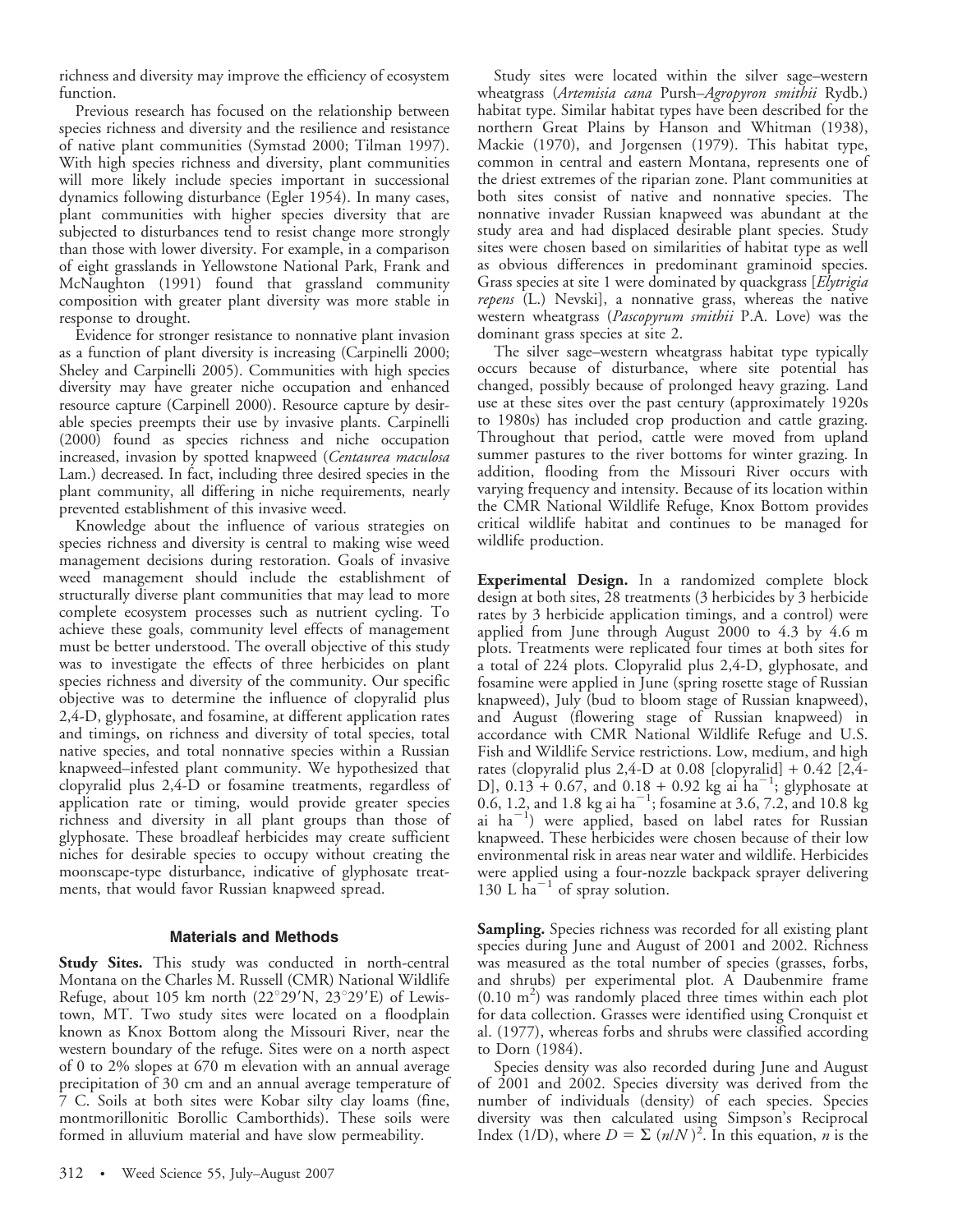richness and diversity may improve the efficiency of ecosystem function.

Previous research has focused on the relationship between species richness and diversity and the resilience and resistance of native plant communities (Symstad 2000; Tilman 1997). With high species richness and diversity, plant communities will more likely include species important in successional dynamics following disturbance (Egler 1954). In many cases, plant communities with higher species diversity that are subjected to disturbances tend to resist change more strongly than those with lower diversity. For example, in a comparison of eight grasslands in Yellowstone National Park, Frank and McNaughton (1991) found that grassland community composition with greater plant diversity was more stable in response to drought.

Evidence for stronger resistance to nonnative plant invasion as a function of plant diversity is increasing (Carpinelli 2000; Sheley and Carpinelli 2005). Communities with high species diversity may have greater niche occupation and enhanced resource capture (Carpinell 2000). Resource capture by desirable species preempts their use by invasive plants. Carpinelli (2000) found as species richness and niche occupation increased, invasion by spotted knapweed (Centaurea maculosa Lam.) decreased. In fact, including three desired species in the plant community, all differing in niche requirements, nearly prevented establishment of this invasive weed.

Knowledge about the influence of various strategies on species richness and diversity is central to making wise weed management decisions during restoration. Goals of invasive weed management should include the establishment of structurally diverse plant communities that may lead to more complete ecosystem processes such as nutrient cycling. To achieve these goals, community level effects of management must be better understood. The overall objective of this study was to investigate the effects of three herbicides on plant species richness and diversity of the community. Our specific objective was to determine the influence of clopyralid plus 2,4-D, glyphosate, and fosamine, at different application rates and timings, on richness and diversity of total species, total native species, and total nonnative species within a Russian knapweed–infested plant community. We hypothesized that clopyralid plus 2,4-D or fosamine treatments, regardless of application rate or timing, would provide greater species richness and diversity in all plant groups than those of glyphosate. These broadleaf herbicides may create sufficient niches for desirable species to occupy without creating the moonscape-type disturbance, indicative of glyphosate treatments, that would favor Russian knapweed spread.

## Materials and Methods

**Study Sites.** This study was conducted in north-central Montana on the Charles M. Russell (CMR) National Wildlife Refuge, about 105 km north  $(22^{\circ}29'N, 23^{\circ}29'E)$  of Lewistown, MT. Two study sites were located on a floodplain known as Knox Bottom along the Missouri River, near the western boundary of the refuge. Sites were on a north aspect of 0 to 2% slopes at 670 m elevation with an annual average precipitation of 30 cm and an annual average temperature of 7 C. Soils at both sites were Kobar silty clay loams (fine, montmorillonitic Borollic Camborthids). These soils were formed in alluvium material and have slow permeability.

Study sites were located within the silver sage–western wheatgrass (Artemisia cana Pursh–Agropyron smithii Rydb.) habitat type. Similar habitat types have been described for the northern Great Plains by Hanson and Whitman (1938), Mackie (1970), and Jorgensen (1979). This habitat type, common in central and eastern Montana, represents one of the driest extremes of the riparian zone. Plant communities at both sites consist of native and nonnative species. The nonnative invader Russian knapweed was abundant at the study area and had displaced desirable plant species. Study sites were chosen based on similarities of habitat type as well as obvious differences in predominant graminoid species. Grass species at site 1 were dominated by quackgrass [*Elytrigia* repens (L.) Nevski], a nonnative grass, whereas the native western wheatgrass (Pascopyrum smithii P.A. Love) was the dominant grass species at site 2.

The silver sage–western wheatgrass habitat type typically occurs because of disturbance, where site potential has changed, possibly because of prolonged heavy grazing. Land use at these sites over the past century (approximately 1920s to 1980s) has included crop production and cattle grazing. Throughout that period, cattle were moved from upland summer pastures to the river bottoms for winter grazing. In addition, flooding from the Missouri River occurs with varying frequency and intensity. Because of its location within the CMR National Wildlife Refuge, Knox Bottom provides critical wildlife habitat and continues to be managed for wildlife production.

Experimental Design. In a randomized complete block design at both sites, 28 treatments (3 herbicides by 3 herbicide rates by 3 herbicide application timings, and a control) were applied from June through August 2000 to 4.3 by 4.6 m plots. Treatments were replicated four times at both sites for a total of 224 plots. Clopyralid plus 2,4-D, glyphosate, and fosamine were applied in June (spring rosette stage of Russian knapweed), July (bud to bloom stage of Russian knapweed), and August (flowering stage of Russian knapweed) in accordance with CMR National Wildlife Refuge and U.S. Fish and Wildlife Service restrictions. Low, medium, and high rates (clopyralid plus 2,4-D at 0.08 [clopyralid] + 0.42 [2,4- D],  $0.13 + 0.67$ , and  $0.18 + 0.92$  kg ai ha<sup>-1</sup>; glyphosate at 0.6, 1.2, and 1.8 kg ai ha<sup>-1</sup>; fosamine at 3.6, 7.2, and 10.8 kg ai  $ha^{-1}$ ) were applied, based on label rates for Russian knapweed. These herbicides were chosen because of their low environmental risk in areas near water and wildlife. Herbicides were applied using a four-nozzle backpack sprayer delivering 130 L  $ha^{-1}$  of spray solution.

Sampling. Species richness was recorded for all existing plant species during June and August of 2001 and 2002. Richness was measured as the total number of species (grasses, forbs, and shrubs) per experimental plot. A Daubenmire frame  $(0.10 \text{ m}^2)$  was randomly placed three times within each plot for data collection. Grasses were identified using Cronquist et al. (1977), whereas forbs and shrubs were classified according to Dorn (1984).

Species density was also recorded during June and August of 2001 and 2002. Species diversity was derived from the number of individuals (density) of each species. Species diversity was then calculated using Simpson's Reciprocal Index (1/D), where  $D = \sum (n/N)^2$ . In this equation, n is the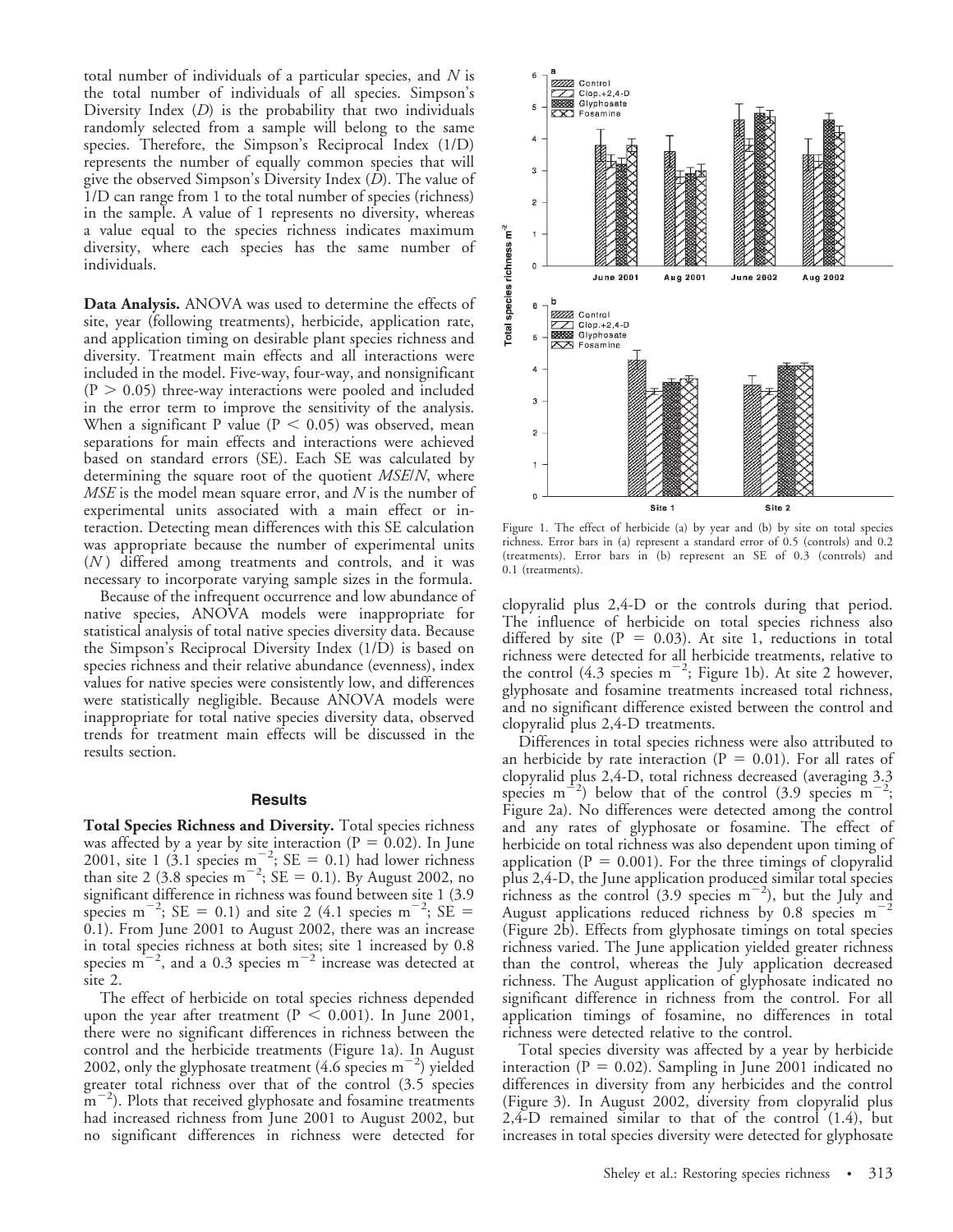total number of individuals of a particular species, and  $N$  is the total number of individuals of all species. Simpson's Diversity Index  $(D)$  is the probability that two individuals randomly selected from a sample will belong to the same species. Therefore, the Simpson's Reciprocal Index (1/D) represents the number of equally common species that will give the observed Simpson's Diversity Index (D). The value of 1/D can range from 1 to the total number of species (richness) in the sample. A value of 1 represents no diversity, whereas a value equal to the species richness indicates maximum diversity, where each species has the same number of individuals.

Data Analysis. ANOVA was used to determine the effects of site, year (following treatments), herbicide, application rate, and application timing on desirable plant species richness and diversity. Treatment main effects and all interactions were included in the model. Five-way, four-way, and nonsignificant  $(P > 0.05)$  three-way interactions were pooled and included in the error term to improve the sensitivity of the analysis. When a significant P value ( $P < 0.05$ ) was observed, mean separations for main effects and interactions were achieved based on standard errors (SE). Each SE was calculated by determining the square root of the quotient *MSE/N*, where  $MSE$  is the model mean square error, and N is the number of experimental units associated with a main effect or interaction. Detecting mean differences with this SE calculation was appropriate because the number of experimental units  $(N)$  differed among treatments and controls, and it was necessary to incorporate varying sample sizes in the formula.

Because of the infrequent occurrence and low abundance of native species, ANOVA models were inappropriate for statistical analysis of total native species diversity data. Because the Simpson's Reciprocal Diversity Index (1/D) is based on species richness and their relative abundance (evenness), index values for native species were consistently low, and differences were statistically negligible. Because ANOVA models were inappropriate for total native species diversity data, observed trends for treatment main effects will be discussed in the results section.

#### **Results**

Total Species Richness and Diversity. Total species richness was affected by a year by site interaction ( $P = 0.02$ ). In June 2001, site 1 (3.1 species  $m^{-2}$ ; SE = 0.1) had lower richness than site 2 (3.8 species m<sup>-2</sup>; SE = 0.1). By August 2002, no significant difference in richness was found between site 1 (3.9 species m<sup>-2</sup>; SE = 0.1) and site 2 (4.1 species m<sup>-2</sup>; SE = 0.1). From June 2001 to August 2002, there was an increase in total species richness at both sites; site 1 increased by 0.8 species  $m^{-2}$ , and a 0.3 species  $m^{-2}$  increase was detected at site 2.

The effect of herbicide on total species richness depended upon the year after treatment ( $P < 0.001$ ). In June 2001, there were no significant differences in richness between the control and the herbicide treatments (Figure 1a). In August 2002, only the glyphosate treatment  $(4.6 \text{ species m}^{-2})$  yielded greater total richness over that of the control (3.5 species  $m^{-2}$ ). Plots that received glyphosate and fosamine treatments had increased richness from June 2001 to August 2002, but no significant differences in richness were detected for



Figure 1. The effect of herbicide (a) by year and (b) by site on total species richness. Error bars in (a) represent a standard error of 0.5 (controls) and 0.2 (treatments). Error bars in (b) represent an SE of 0.3 (controls) and 0.1 (treatments).

clopyralid plus 2,4-D or the controls during that period. The influence of herbicide on total species richness also differed by site ( $P = 0.03$ ). At site 1, reductions in total richness were detected for all herbicide treatments, relative to the control (4.3 species  $m^{-2}$ ; Figure 1b). At site 2 however, glyphosate and fosamine treatments increased total richness, and no significant difference existed between the control and clopyralid plus 2,4-D treatments.

Differences in total species richness were also attributed to an herbicide by rate interaction ( $P = 0.01$ ). For all rates of clopyralid plus 2,4-D, total richness decreased (averaging 3.3 species  $m^{-2}$ ) below that of the control (3.9 species  $m^{-2}$ ; Figure 2a). No differences were detected among the control and any rates of glyphosate or fosamine. The effect of herbicide on total richness was also dependent upon timing of application ( $P = 0.001$ ). For the three timings of clopyralid plus 2,4-D, the June application produced similar total species richness as the control (3.9 species  $m^{-2}$ ), but the July and August applications reduced richness by 0.8 species  $m^{-2}$ (Figure 2b). Effects from glyphosate timings on total species richness varied. The June application yielded greater richness than the control, whereas the July application decreased richness. The August application of glyphosate indicated no significant difference in richness from the control. For all application timings of fosamine, no differences in total richness were detected relative to the control.

Total species diversity was affected by a year by herbicide interaction ( $P = 0.02$ ). Sampling in June 2001 indicated no differences in diversity from any herbicides and the control (Figure 3). In August 2002, diversity from clopyralid plus 2,4-D remained similar to that of the control (1.4), but increases in total species diversity were detected for glyphosate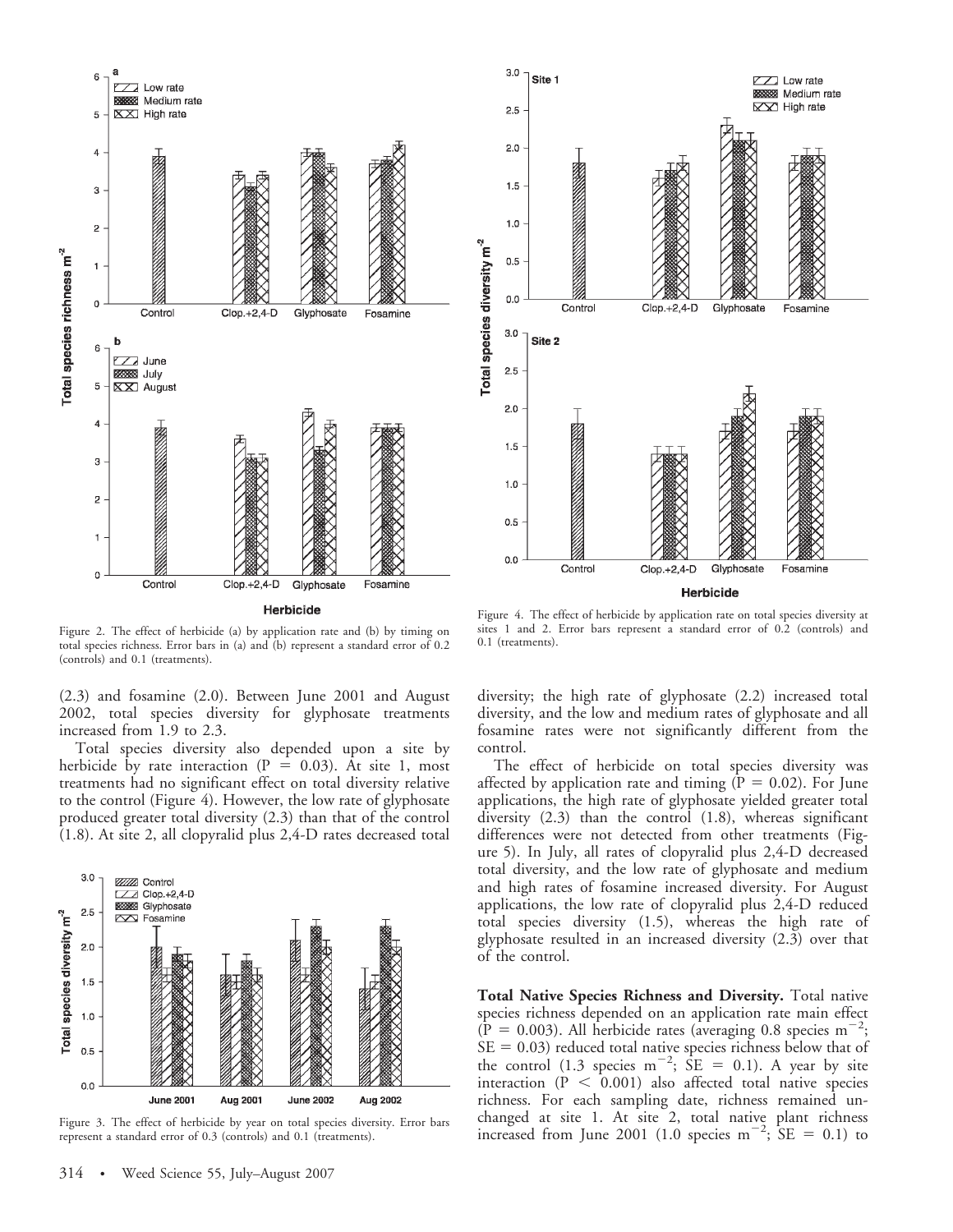

Figure 2. The effect of herbicide (a) by application rate and (b) by timing on total species richness. Error bars in (a) and (b) represent a standard error of 0.2 (controls) and 0.1 (treatments).

(2.3) and fosamine (2.0). Between June 2001 and August 2002, total species diversity for glyphosate treatments increased from 1.9 to 2.3.

Total species diversity also depended upon a site by herbicide by rate interaction ( $P = 0.03$ ). At site 1, most treatments had no significant effect on total diversity relative to the control (Figure 4). However, the low rate of glyphosate produced greater total diversity (2.3) than that of the control (1.8). At site 2, all clopyralid plus 2,4-D rates decreased total



Figure 3. The effect of herbicide by year on total species diversity. Error bars represent a standard error of 0.3 (controls) and 0.1 (treatments).



Figure 4. The effect of herbicide by application rate on total species diversity at sites 1 and 2. Error bars represent a standard error of 0.2 (controls) and 0.1 (treatments).

diversity; the high rate of glyphosate (2.2) increased total diversity, and the low and medium rates of glyphosate and all fosamine rates were not significantly different from the control.

The effect of herbicide on total species diversity was affected by application rate and timing ( $P = 0.02$ ). For June applications, the high rate of glyphosate yielded greater total diversity (2.3) than the control (1.8), whereas significant differences were not detected from other treatments (Figure 5). In July, all rates of clopyralid plus 2,4-D decreased total diversity, and the low rate of glyphosate and medium and high rates of fosamine increased diversity. For August applications, the low rate of clopyralid plus 2,4-D reduced total species diversity (1.5), whereas the high rate of glyphosate resulted in an increased diversity (2.3) over that of the control.

Total Native Species Richness and Diversity. Total native species richness depended on an application rate main effect  $(\overline{P} = 0.003)$ . All herbicide rates (averaging 0.8 species m<sup>-2</sup>;  $SE = 0.03$ ) reduced total native species richness below that of the control (1.3 species m<sup>-2</sup>;  $\overline{SE}$  = 0.1). A year by site interaction  $(P < 0.001)$  also affected total native species richness. For each sampling date, richness remained unchanged at site 1. At site 2, total native plant richness increased from June 2001 (1.0 species m<sup>-2</sup>;  $SE = 0.1$ ) to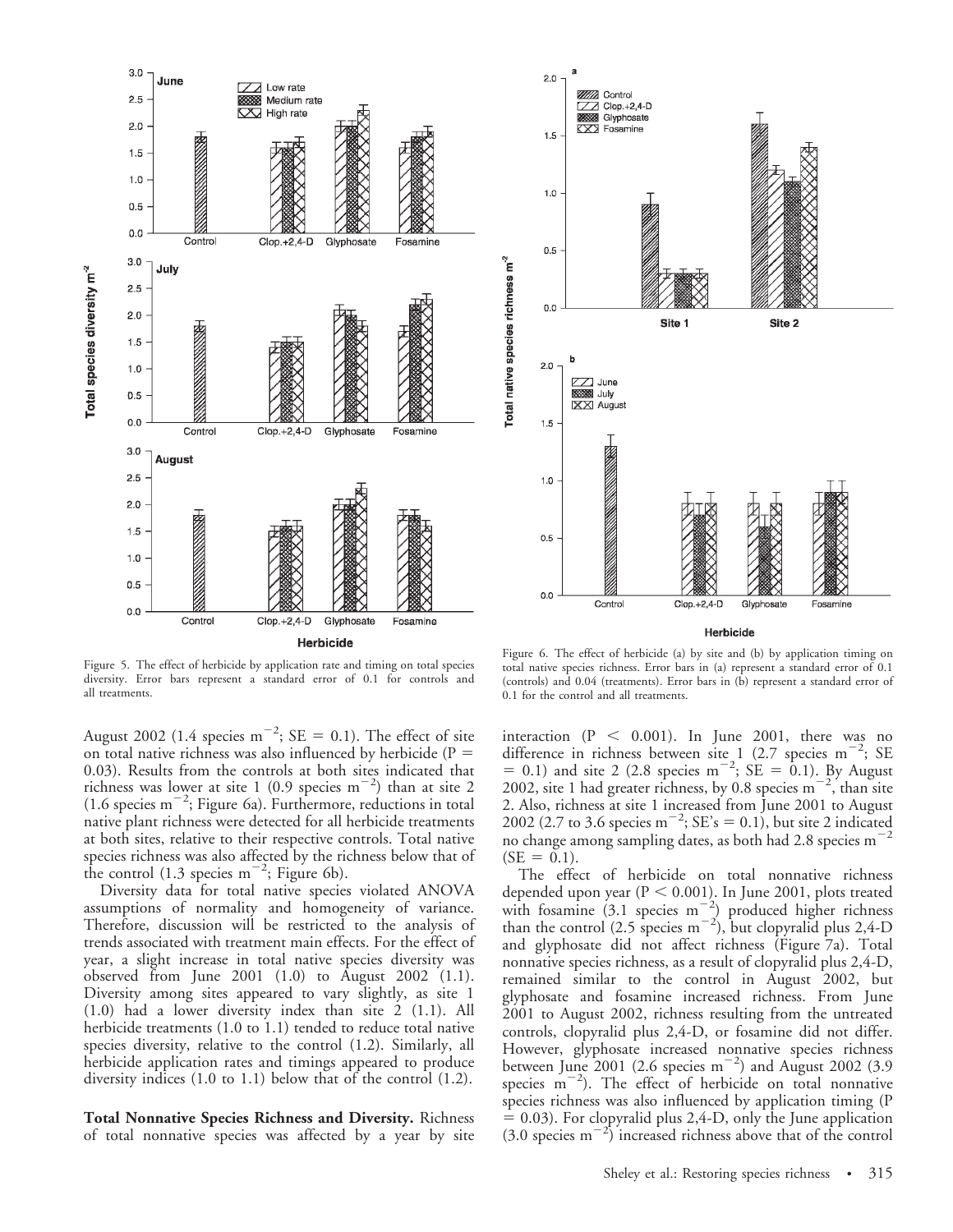



Herbicide

Figure 5. The effect of herbicide by application rate and timing on total species diversity. Error bars represent a standard error of 0.1 for controls and all treatments.

August 2002 (1.4 species m<sup>-2</sup>; SE = 0.1). The effect of site on total native richness was also influenced by herbicide ( $P =$ 0.03). Results from the controls at both sites indicated that richness was lower at site 1 (0.9 species  $m^{-2}$ ) than at site 2  $(1.6 \text{ species m}^{-2}, \text{Figure 6a}).$  Furthermore, reductions in total native plant richness were detected for all herbicide treatments at both sites, relative to their respective controls. Total native species richness was also affected by the richness below that of the control  $(1.3 \text{ species m}^{-2})$ ; Figure 6b).

Diversity data for total native species violated ANOVA assumptions of normality and homogeneity of variance. Therefore, discussion will be restricted to the analysis of trends associated with treatment main effects. For the effect of year, a slight increase in total native species diversity was observed from June 2001 (1.0) to August 2002 (1.1). Diversity among sites appeared to vary slightly, as site 1 (1.0) had a lower diversity index than site 2 (1.1). All herbicide treatments (1.0 to 1.1) tended to reduce total native species diversity, relative to the control (1.2). Similarly, all herbicide application rates and timings appeared to produce diversity indices (1.0 to 1.1) below that of the control (1.2).

Total Nonnative Species Richness and Diversity. Richness of total nonnative species was affected by a year by site

Figure 6. The effect of herbicide (a) by site and (b) by application timing on total native species richness. Error bars in (a) represent a standard error of 0.1 (controls) and 0.04 (treatments). Error bars in (b) represent a standard error of 0.1 for the control and all treatments.

interaction ( $P < 0.001$ ). In June 2001, there was no difference in richness between site 1 (2.7 species  $m^{-2}$ ; SE = 0.1) and site 2 (2.8 species m<sup>-2</sup>; SE = 0.1). By August 2002, site 1 had greater richness, by 0.8 species  $m^{-2}$ , than site 2. Also, richness at site 1 increased from June 2001 to August 2002 (2.7 to 3.6 species m<sup>-2</sup>; SE's = 0.1), but site 2 indicated no change among sampling dates, as both had 2.8 species  $m$ <sup>-</sup>  $(SE = 0.1).$ 

The effect of herbicide on total nonnative richness depended upon year ( $P < 0.001$ ). In June 2001, plots treated with fosamine  $(3.1 \text{ species m}^{-2})$  produced higher richness than the control (2.5 species  $m^{-2}$ ), but clopyralid plus 2,4-D and glyphosate did not affect richness (Figure 7a). Total nonnative species richness, as a result of clopyralid plus 2,4-D, remained similar to the control in August 2002, but glyphosate and fosamine increased richness. From June 2001 to August 2002, richness resulting from the untreated controls, clopyralid plus 2,4-D, or fosamine did not differ. However, glyphosate increased nonnative species richness between June 2001 (2.6 species  $m^{-2}$ ) and August 2002 (3.9 species  $m^{-2}$ ). The effect of herbicide on total nonnative species richness was also influenced by application timing (P  $= 0.03$ ). For clopyralid plus 2,4-D, only the June application  $(3.0 \text{ species m}^{-2})$  increased richness above that of the control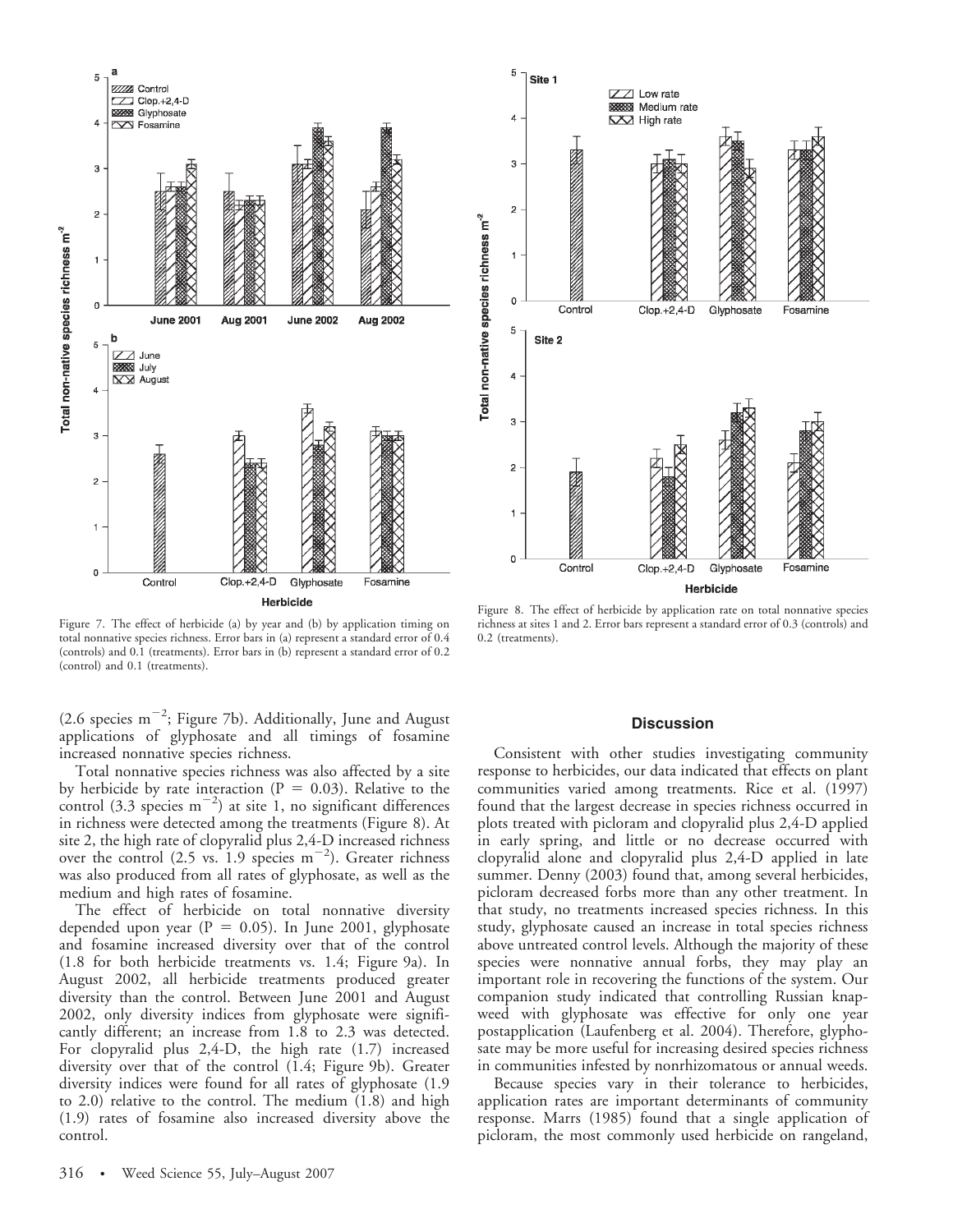

Figure 7. The effect of herbicide (a) by year and (b) by application timing on total nonnative species richness. Error bars in (a) represent a standard error of 0.4 (controls) and 0.1 (treatments). Error bars in (b) represent a standard error of 0.2 (control) and 0.1 (treatments).

(2.6 species  $m^{-2}$ ; Figure 7b). Additionally, June and August applications of glyphosate and all timings of fosamine increased nonnative species richness.

Total nonnative species richness was also affected by a site by herbicide by rate interaction ( $P = 0.03$ ). Relative to the control  $(3.3 \text{ species m}^{-2})$  at site 1, no significant differences in richness were detected among the treatments (Figure 8). At site 2, the high rate of clopyralid plus 2,4-D increased richness over the control  $(2.5 \text{ vs. } 1.9 \text{ species m}^{-2})$ . Greater richness was also produced from all rates of glyphosate, as well as the medium and high rates of fosamine.

The effect of herbicide on total nonnative diversity depended upon year ( $P = 0.05$ ). In June 2001, glyphosate and fosamine increased diversity over that of the control (1.8 for both herbicide treatments vs. 1.4; Figure 9a). In August 2002, all herbicide treatments produced greater diversity than the control. Between June 2001 and August 2002, only diversity indices from glyphosate were significantly different; an increase from 1.8 to 2.3 was detected. For clopyralid plus 2,4-D, the high rate (1.7) increased diversity over that of the control (1.4; Figure 9b). Greater diversity indices were found for all rates of glyphosate (1.9 to 2.0) relative to the control. The medium (1.8) and high (1.9) rates of fosamine also increased diversity above the control.



Figure 8. The effect of herbicide by application rate on total nonnative species richness at sites 1 and 2. Error bars represent a standard error of 0.3 (controls) and 0.2 (treatments).

### **Discussion**

Consistent with other studies investigating community response to herbicides, our data indicated that effects on plant communities varied among treatments. Rice et al. (1997) found that the largest decrease in species richness occurred in plots treated with picloram and clopyralid plus 2,4-D applied in early spring, and little or no decrease occurred with clopyralid alone and clopyralid plus 2,4-D applied in late summer. Denny (2003) found that, among several herbicides, picloram decreased forbs more than any other treatment. In that study, no treatments increased species richness. In this study, glyphosate caused an increase in total species richness above untreated control levels. Although the majority of these species were nonnative annual forbs, they may play an important role in recovering the functions of the system. Our companion study indicated that controlling Russian knapweed with glyphosate was effective for only one year postapplication (Laufenberg et al. 2004). Therefore, glyphosate may be more useful for increasing desired species richness in communities infested by nonrhizomatous or annual weeds.

Because species vary in their tolerance to herbicides, application rates are important determinants of community response. Marrs (1985) found that a single application of picloram, the most commonly used herbicide on rangeland,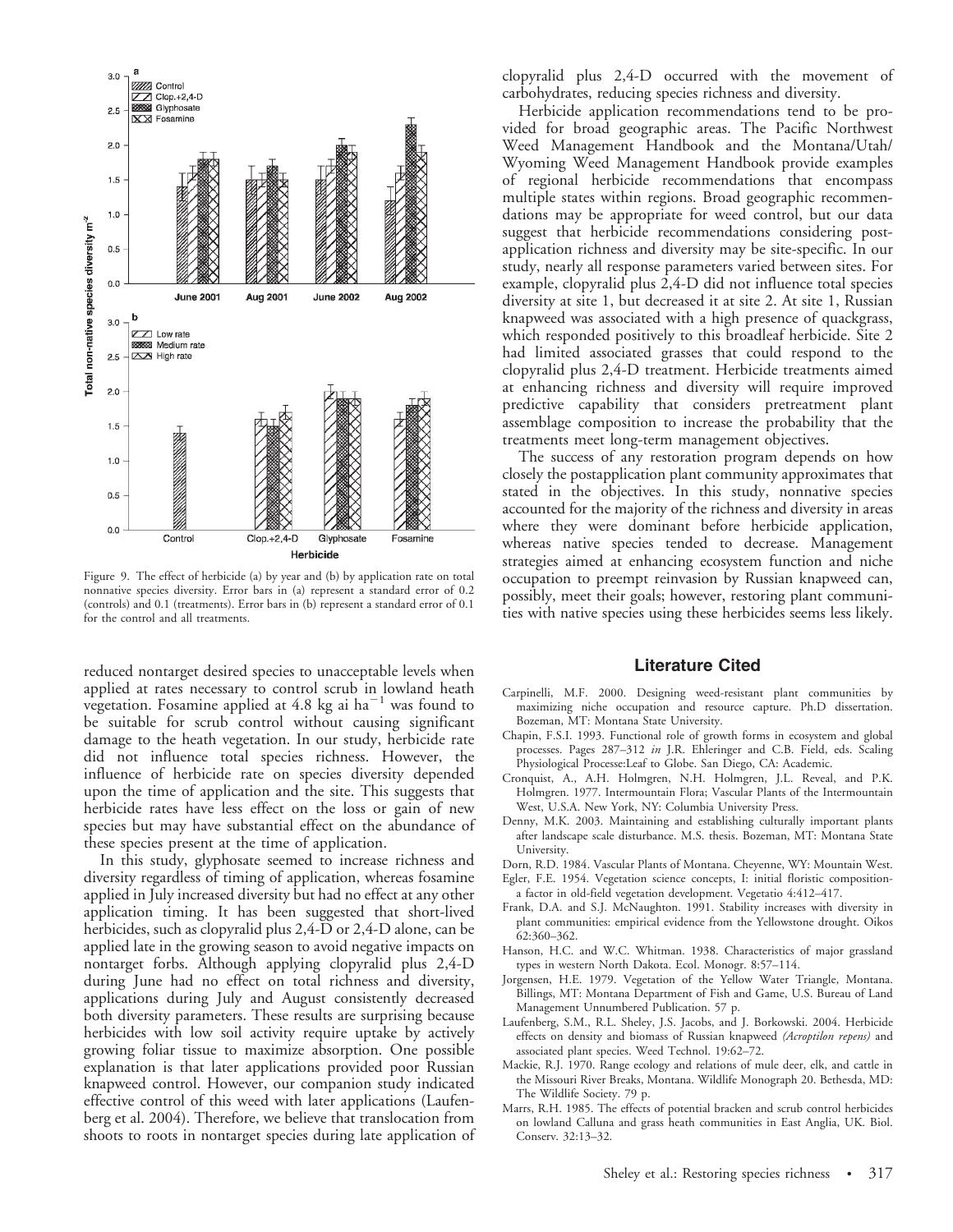

Figure 9. The effect of herbicide (a) by year and (b) by application rate on total nonnative species diversity. Error bars in (a) represent a standard error of 0.2 (controls) and 0.1 (treatments). Error bars in (b) represent a standard error of 0.1 for the control and all treatments.

reduced nontarget desired species to unacceptable levels when applied at rates necessary to control scrub in lowland heath vegetation. Fosamine applied at 4.8 kg ai  $ha^{-1}$  was found to be suitable for scrub control without causing significant damage to the heath vegetation. In our study, herbicide rate did not influence total species richness. However, the influence of herbicide rate on species diversity depended upon the time of application and the site. This suggests that herbicide rates have less effect on the loss or gain of new species but may have substantial effect on the abundance of these species present at the time of application.

In this study, glyphosate seemed to increase richness and diversity regardless of timing of application, whereas fosamine applied in July increased diversity but had no effect at any other application timing. It has been suggested that short-lived herbicides, such as clopyralid plus 2,4-D or 2,4-D alone, can be applied late in the growing season to avoid negative impacts on nontarget forbs. Although applying clopyralid plus 2,4-D during June had no effect on total richness and diversity, applications during July and August consistently decreased both diversity parameters. These results are surprising because herbicides with low soil activity require uptake by actively growing foliar tissue to maximize absorption. One possible explanation is that later applications provided poor Russian knapweed control. However, our companion study indicated effective control of this weed with later applications (Laufenberg et al. 2004). Therefore, we believe that translocation from shoots to roots in nontarget species during late application of clopyralid plus 2,4-D occurred with the movement of carbohydrates, reducing species richness and diversity.

Herbicide application recommendations tend to be provided for broad geographic areas. The Pacific Northwest Weed Management Handbook and the Montana/Utah/ Wyoming Weed Management Handbook provide examples of regional herbicide recommendations that encompass multiple states within regions. Broad geographic recommendations may be appropriate for weed control, but our data suggest that herbicide recommendations considering postapplication richness and diversity may be site-specific. In our study, nearly all response parameters varied between sites. For example, clopyralid plus 2,4-D did not influence total species diversity at site 1, but decreased it at site 2. At site 1, Russian knapweed was associated with a high presence of quackgrass, which responded positively to this broadleaf herbicide. Site 2 had limited associated grasses that could respond to the clopyralid plus 2,4-D treatment. Herbicide treatments aimed at enhancing richness and diversity will require improved predictive capability that considers pretreatment plant assemblage composition to increase the probability that the treatments meet long-term management objectives.

The success of any restoration program depends on how closely the postapplication plant community approximates that stated in the objectives. In this study, nonnative species accounted for the majority of the richness and diversity in areas where they were dominant before herbicide application, whereas native species tended to decrease. Management strategies aimed at enhancing ecosystem function and niche occupation to preempt reinvasion by Russian knapweed can, possibly, meet their goals; however, restoring plant communities with native species using these herbicides seems less likely.

## Literature Cited

- Carpinelli, M.F. 2000. Designing weed-resistant plant communities by maximizing niche occupation and resource capture. Ph.D dissertation. Bozeman, MT: Montana State University.
- Chapin, F.S.I. 1993. Functional role of growth forms in ecosystem and global processes. Pages 287–312 in J.R. Ehleringer and C.B. Field, eds. Scaling Physiological Processe:Leaf to Globe. San Diego, CA: Academic.
- Cronquist, A., A.H. Holmgren, N.H. Holmgren, J.L. Reveal, and P.K. Holmgren. 1977. Intermountain Flora; Vascular Plants of the Intermountain West, U.S.A. New York, NY: Columbia University Press.
- Denny, M.K. 2003. Maintaining and establishing culturally important plants after landscape scale disturbance. M.S. thesis. Bozeman, MT: Montana State University.
- Dorn, R.D. 1984. Vascular Plants of Montana. Cheyenne, WY: Mountain West.
- Egler, F.E. 1954. Vegetation science concepts, I: initial floristic compositiona factor in old-field vegetation development. Vegetatio 4:412–417.
- Frank, D.A. and S.J. McNaughton. 1991. Stability increases with diversity in plant communities: empirical evidence from the Yellowstone drought. Oikos 62:360–362.
- Hanson, H.C. and W.C. Whitman. 1938. Characteristics of major grassland types in western North Dakota. Ecol. Monogr. 8:57–114.
- Jorgensen, H.E. 1979. Vegetation of the Yellow Water Triangle, Montana. Billings, MT: Montana Department of Fish and Game, U.S. Bureau of Land Management Unnumbered Publication. 57 p.
- Laufenberg, S.M., R.L. Sheley, J.S. Jacobs, and J. Borkowski. 2004. Herbicide effects on density and biomass of Russian knapweed (Acroptilon repens) and associated plant species. Weed Technol. 19:62–72.
- Mackie, R.J. 1970. Range ecology and relations of mule deer, elk, and cattle in the Missouri River Breaks, Montana. Wildlife Monograph 20. Bethesda, MD: The Wildlife Society. 79 p.
- Marrs, R.H. 1985. The effects of potential bracken and scrub control herbicides on lowland Calluna and grass heath communities in East Anglia, UK. Biol. Conserv. 32:13–32.